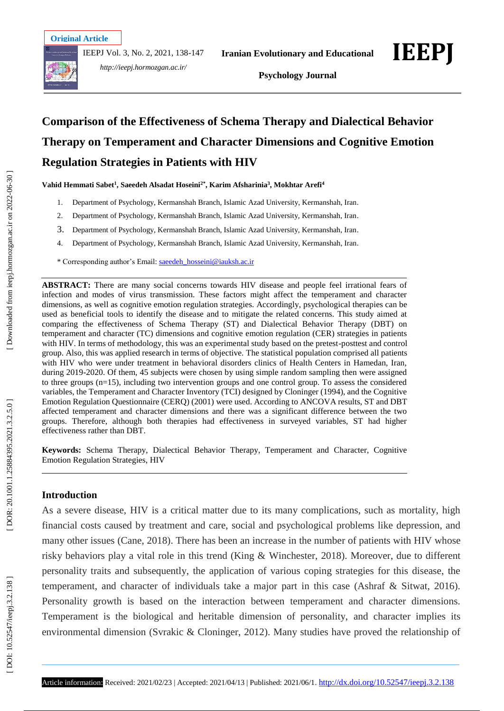IEEPJ Vol. 3, No. 2, 2021, 138 -147



*http://ieepj.hormozgan.ac.ir/*

**Iranian Evolutionary and Educational** 



**Psychology Journal**

# **Comparison of the Effectiveness of Schema Therapy and Dialectical Behavior Therapy on Temperament and Character Dimensions and Cognitive Emotion Regulation Strategies in Patients with HIV**

**Vahid Hemmati Sabet 1 , Saeedeh Alsadat Hoseini2\*, Karim Afsharinia 3 , Mokhtar Arefi 4**

- 1 . Department of Psychology, Kermanshah Branch, Islamic Azad University, Kermanshah, Iran .
- $2<sub>1</sub>$ . Department of Psychology, Kermanshah Branch, Islamic Azad University, Kermanshah, Iran .
- 3 . Department of Psychology, Kermanshah Branch, Islamic Azad University, Kermanshah, Iran .
- 4 . Department of Psychology, Kermanshah Branch, Islamic Azad University, Kermanshah, Iran .

\* Corresponding author's Email: [saeedeh\\_hosseini@iauksh.ac.ir](mailto:saeedeh_hosseini@iauksh.ac.ir)

**ABSTRACT:** There are many social concerns towards HIV disease and people feel irrational fears of infection and modes of virus transmission. These factors might affect the temperament and character dimensions, as well as cognitive emotion regulation strategies. Accordingly, psychological therapies can be used as beneficial tools to identify the disease and to mitigate the related concerns. This study aimed at comparing the effectiveness of Schema Therapy (ST) and Dialectical Behavior Therapy (DBT) on temperament and character (TC) dimensions and cognitive emotion regulation (CER) strategies in patients with HIV. In terms of methodology, this was an experimental study based on the pretest -posttest and control group. Also, this was applied research in terms of objective. The statistical population comprised all patients with HIV who were under treatment in behavioral disorders clinics of Health Centers in Hamedan, Iran, during 2019 -2020. Of them, 45 subjects were chosen by using simple random sampling then were assigned to three groups (n=15), including two intervention groups and one control group. To assess the considered variables, the Temperament and Character Inventory (TCI) designed by Cloninger (1994), and the Cognitive Emotion Regulation Questionnaire (CERQ) (2001) were used. According to ANCOVA results, ST and DBT affected temperament and character dimensions and there was a significant difference between the two groups. Therefore, although both therapies had effectiveness in surveyed variables, ST had higher effectiveness rather than DBT.

**Keywords:** Schema Therapy, Dialectical Behavior Therapy, Temperament and Character, Cognitive Emotion Regulation Strategies, HIV

# **Introduction**

As a severe disease, HIV is a critical matter due to its many complications, such as mortality, high financial costs caused by treatment and care, social and psychological problems like depression, and many other issues (Cane, 2018). There has been an increase in the number of patients with HIV whose risky behaviors play a vital role in this trend (King & Winchester, 2018). Moreover, due to different personality traits and subsequently, the application of various coping strategies for this disease, the temperament, and character of individuals take a major part in this case (Ashraf & Sitwat, 2016). Personality growth is based on the interaction between temperament and character dimensions. Temperament is the biological and heritable dimension of personality, and character implies its environmental dimension (Svrakic & Cloninger, 2012). Many studies have proved the relationship of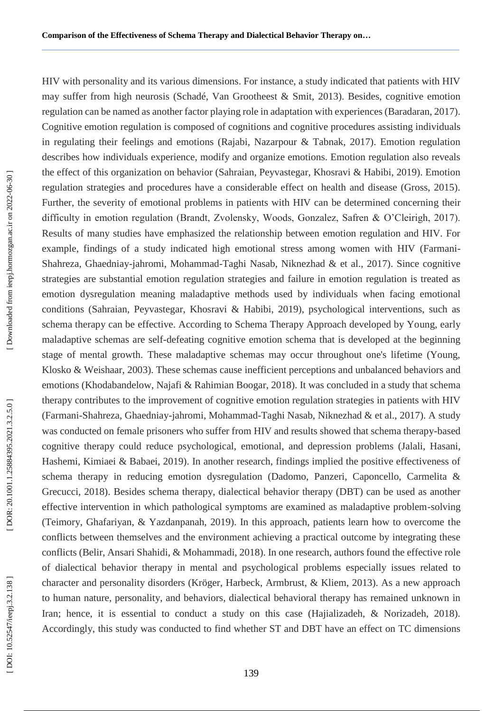HIV with personality and its various dimensions. For instance, a study indicated that patients with HIV may suffer from high neurosis (Schadé, Van Grootheest & Smit, 2013). Besides, cognitive emotion regulation can be named as another factor playing role in adaptation with experiences (Baradaran, 2017). Cognitive emotion regulation is composed of cognitions and cognitive procedures assisting individuals in regulating their feelings and emotions (Rajabi, Nazarpour & Tabnak, 2017). Emotion regulation describes how individuals experience, modify and organize emotions. Emotion regulation also reveals the effect of this organization on behavior (Sahraian, Peyvastegar, Khosravi & Habibi, 2019). Emotion regulation strategies and procedures have a considerable effect on health and disease (Gross, 2015). Further, the severity of emotional problems in patients with HIV can be determined concerning their difficulty in emotion regulation (Brandt, Zvolensky, Woods, Gonzalez, Safren & O'Cleirigh, 2017). Results of many studies have emphasized the relationship between emotion regulation and HIV. For example, findings of a study indicated high emotional stress among women with HIV (Farmani-Shahreza, Ghaedniay -jahromi, Mohammad -Taghi Nasab, Niknezhad & et al., 2017). Since cognitive strategies are substantial emotion regulation strategies and failure in emotion regulation is treated as emotion dysregulation meaning maladaptive methods used by individuals when facing emotional conditions (Sahraian, Peyvastegar, Khosravi & Habibi, 2019), psychological interventions, such as schema therapy can be effective. According to Schema Therapy Approach developed by Young, early maladaptive schemas are self-defeating cognitive emotion schema that is developed at the beginning stage of mental growth. These maladaptive schemas may occur throughout one's lifetime (Young, Klosko & Weishaar, 2003). These schemas cause inefficient perceptions and unbalanced behaviors and emotions (Khodabandelow, Najafi & Rahimian Boogar, 2018). It was concluded in a study that schema therapy contributes to the improvement of cognitive emotion regulation strategies in patients with HIV (Farmani -Shahreza, Ghaedniay -jahromi, Mohammad -Taghi Nasab, Niknezhad & et al., 2017). A study was conducted on female prisoners who suffer from HIV and results showed that schema therapy -based cognitive therapy could reduce psychological, emotional, and depression problems (Jalali, Hasani, Hashemi, Kimiaei & Babaei, 2019). In another research, findings implied the positive effectiveness of schema therapy in reducing emotion dysregulation (Dadomo, Panzeri, Caponcello, Carmelita & Grecucci, 2018). Besides schema therapy, dialectical behavior therapy (DBT) can be used as another effective intervention in which pathological symptoms are examined as maladaptive problem -solving (Teimory, Ghafariyan, & Yazdanpanah, 2019). In this approach, patients learn how to overcome the conflicts between themselves and the environment achieving a practical outcome by integrating these conflicts (Belir, Ansari Shahidi, & Mohammadi, 2018). In one research, authors found the effective role of dialectical behavior therapy in mental and psychological problems especially issues related to character and personality disorders (Kröger, Harbeck, Armbrust, & Kliem, 2013). As a new approach to human nature, personality, and behaviors, dialectical behavioral therapy has remained unknown in Iran; hence, it is essential to conduct a study on this case (Hajializadeh, & Norizadeh, 2018). Accordingly, this study was conducted to find whether ST and DBT have an effect on TC dimensions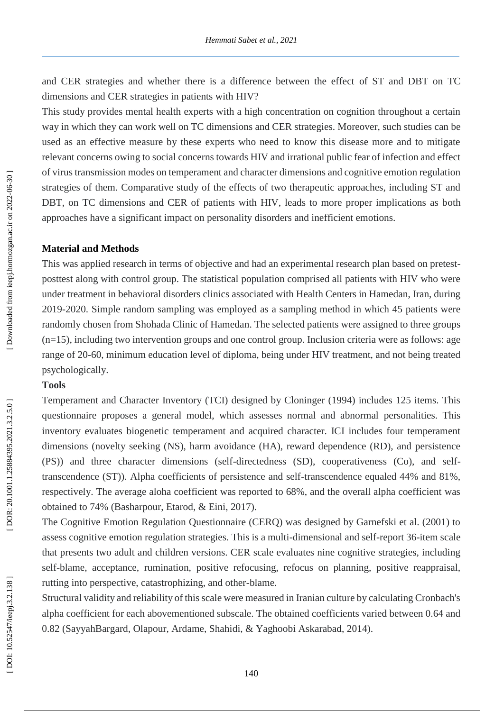and CER strategies and whether there is a difference between the effect of ST and DBT on TC dimensions and CER strategies in patients with HIV?

This study provides mental health experts with a high concentration on cognition throughout a certain way in which they can work well on TC dimensions and CER strategies. Moreover, such studies can be used as an effective measure by these experts who need to know this disease more and to mitigate relevant concerns owing to social concerns towards HIV and irrational public fear of infection and effect of virus transmission modes on temperament and character dimensions and cognitive emotion regulation strategies of them. Comparative study of the effects of two therapeutic approaches, including ST and DBT, on TC dimensions and CER of patients with HIV, leads to more proper implications as both approaches have a significant impact on personality disorders and inefficient emotions.

#### **Material and Method s**

This was applied research in terms of objective and had an experimental research plan based on pretest posttest along with control group. The statistical population comprised all patients with HIV who were under treatment in behavioral disorders clinics associated with Health Centers in Hamedan, Iran, during 2019 -2020. Simple random sampling was employed as a sampling method in which 45 patients were randomly chosen from Shohada Clinic of Hamedan. The selected patients were assigned to three groups (n=15), including two intervention groups and one control group. Inclusion criteria were as follows: age range of 20 -60, minimum education level of diploma, being under HIV treatment, and not being treated psychologically.

# **Tools**

Temperament and Character Inventory (TCI) designed by Cloninger (1994) includes 125 items. This questionnaire proposes a general model, which assesses normal and abnormal personalities. This inventory evaluates biogenetic temperament and acquired character. ICI includes four temperament dimensions (novelty seeking (NS), harm avoidance (HA), reward dependence (RD), and persistence (PS)) and three character dimensions (self - directedness (SD), cooperativeness (Co), and self transcendence (ST)). Alpha coefficients of persistence and self -transcendence equaled 44% and 81%, respectively. The average aloha coefficient was reported to 68%, and the overall alpha coefficient was obtained to 74% (Basharpour, Etarod, & Eini, 2017).

The Cognitive Emotion Regulation Questionnaire (CERQ) was designed by Garnefski et al. (2001) to assess cognitive emotion regulation strategies. This is a multi -dimensional and self-report 36 -item scale that presents two adult and children versions. CER scale evaluates nine cognitive strategies, including self-blame, acceptance, rumination, positive refocusing, refocus on planning, positive reappraisal, rutting into perspective, catastrophizing, and other -blame .

Structural validity and reliability of this scale were measured in Iranian culture by calculating Cronbach's alpha coefficient for each abovementioned subscale. The obtained coefficients varied between 0.64 and 0.82 (SayyahBargard, Olapour, Ardame, Shahidi, & Yaghoobi Askarabad, 2014).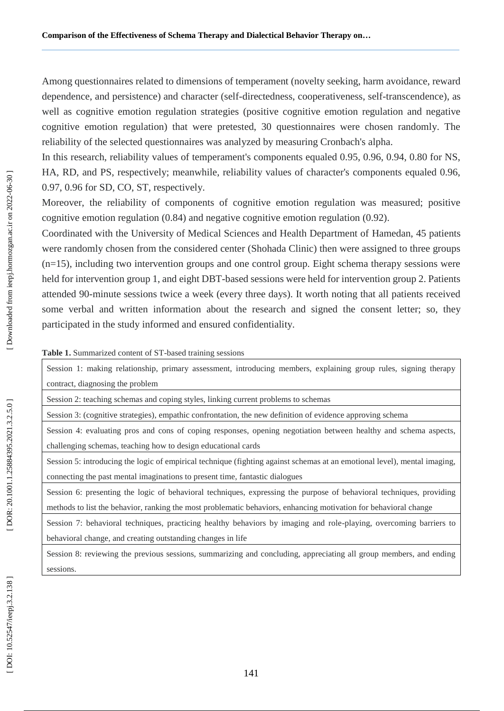Among questionnaires related to dimensions of temperament (novelty seeking, harm avoidance, reward dependence, and persistence) and character (self -directedness, cooperativeness, self-transcendence), as well as cognitive emotion regulation strategies (positive cognitive emotion regulation and negative cognitive emotion regulation) that were pretested, 30 questionnaires were chosen randomly. The reliability of the selected questionnaires was analyzed by measuring Cronbach's alpha.

In this research, reliability values of temperament's components equaled 0.95, 0.96, 0.94, 0.80 for NS, HA, RD, and PS, respectively; meanwhile, reliability values of character's components equaled 0.96, 0.97, 0.96 for SD, CO, ST, respectively.

Moreover, the reliability of components of cognitive emotion regulation was measured; positive cognitive emotion regulation (0.84) and negative cognitive emotion regulation (0.92).

Coordinated with the University of Medical Sciences and Health Department of Hamedan, 45 patients were randomly chosen from the considered center (Shohada Clinic) then were assigned to three groups  $(n=15)$ , including two intervention groups and one control group. Eight schema therapy sessions were held for intervention group 1, and eight DBT -based sessions were held for intervention group 2. Patients attended 90 -minute sessions twice a week (every three days). It worth noting that all patients received some verbal and written information about the research and signed the consent letter; so, they participated in the study informed and ensured confidentiality.

**Table 1.** Summarized content of ST -based training sessions

Session 1: making relationship, primary assessment, introducing members, explaining group rules, signing therapy contract, diagnosing the problem

Session 2: teaching schemas and coping styles, linking current problems to schemas

Session 3: (cognitive strategies), empathic confrontation, the new definition of evidence approving schema

Session 4: evaluating pros and cons of coping responses, opening negotiation between healthy and schema aspects, challenging schemas, teaching how to design educational cards

Session 5: introducing the logic of empirical technique (fighting against schemas at an emotional level), mental imaging, connecting the past mental imaginations to present time, fantastic dialogues

Session 6: presenting the logic of behavioral techniques, expressing the purpose of behavioral techniques, providing methods to list the behavior, ranking the most problematic behaviors, enhancing motivation for behavioral change

Session 7: behavioral techniques, practicing healthy behaviors by imaging and role -playing, overcoming barriers to behavioral change, and creating outstanding changes in life

Session 8: reviewing the previous sessions, summarizing and concluding, appreciating all group members, and ending sessions.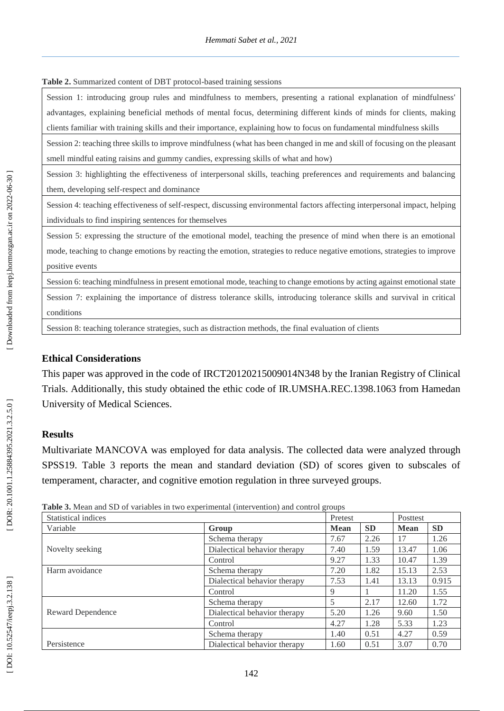#### Table 2. Summarized content of DBT protocol-based training sessions

Session 1: introducing group rules and mindfulness to members, presenting a rational explanation of mindfulness' advantages, explaining beneficial methods of mental focus, determining different kinds of minds for clients, making clients familiar with training skills and their importance, explaining how to focus on fundamental mindfulness skills

Session 2: teaching three skills to improve mindfulness (what has been changed in me and skill of focusing on the pleasant smell mindful eating raisins and gummy candies, expressing skills of what and how)

Session 3: highlighting the effectiveness of interpersonal skills, teaching preferences and requirements and balancing them, developing self -respect and dominance

Session 4: teaching effectiveness of self -respect, discussing environmental factors affecting interpersonal impact, helping individuals to find inspiring sentences for themselves

Session 5: expressing the structure of the emotional model, teaching the presence of mind when there is an emotional mode, teaching to change emotions by reacting the emotion, strategies to reduce negative emotions, strategies to improve positive events

Session 6: teaching mindfulness in present emotional mode, teaching to change emotions by acting against emotional state Session 7: explaining the importance of distress tolerance skills, introducing tolerance skills and survival in critical conditions

Session 8: teaching tolerance strategies, such as distraction methods, the final evaluation of clients

## **Ethical Considerations**

This paper was approved in the code of IRCT20120215009014N348 by the Iranian Registry of Clinical Trials. Additionally, this study obtained the ethic code of IR.UMSHA.REC.1398.1063 from Hamedan University of Medical Sciences.

## **Results**

Multivariate MANCOVA was employed for data analysis. The collected data were analyzed through SPSS19. Table 3 reports the mean and standard deviation (SD) of scores given to subscales of temperament, character, and cognitive emotion regulation in three surveyed groups.

| <b>raphy of mean and SD</b> of variables in two experimental (filter vention) and control groups |                              |             |           |             |           |  |
|--------------------------------------------------------------------------------------------------|------------------------------|-------------|-----------|-------------|-----------|--|
| <b>Statistical indices</b>                                                                       |                              | Pretest     |           |             | Posttest  |  |
| Variable                                                                                         | Group                        | <b>Mean</b> | <b>SD</b> | <b>Mean</b> | <b>SD</b> |  |
|                                                                                                  | Schema therapy               | 7.67        | 2.26      | 17          | 1.26      |  |
| Novelty seeking                                                                                  | Dialectical behavior therapy | 7.40        | 1.59      | 13.47       | 1.06      |  |
|                                                                                                  | Control                      | 9.27        | 1.33      | 10.47       | 1.39      |  |
| Harm avoidance                                                                                   | Schema therapy               | 7.20        | 1.82      | 15.13       | 2.53      |  |
|                                                                                                  | Dialectical behavior therapy | 7.53        | 1.41      | 13.13       | 0.915     |  |
|                                                                                                  | Control                      | 9           |           | 11.20       | 1.55      |  |
|                                                                                                  | Schema therapy               | 5           | 2.17      | 12.60       | 1.72      |  |
| Reward Dependence                                                                                | Dialectical behavior therapy | 5.20        | 1.26      | 9.60        | 1.50      |  |
|                                                                                                  | Control                      | 4.27        | 1.28      | 5.33        | 1.23      |  |
|                                                                                                  | Schema therapy               | 1.40        | 0.51      | 4.27        | 0.59      |  |
| Persistence                                                                                      | Dialectical behavior therapy | 1.60        | 0.51      | 3.07        | 0.70      |  |

**Table 3.** Mean and SD of variables in two experimental (intervention) and control groups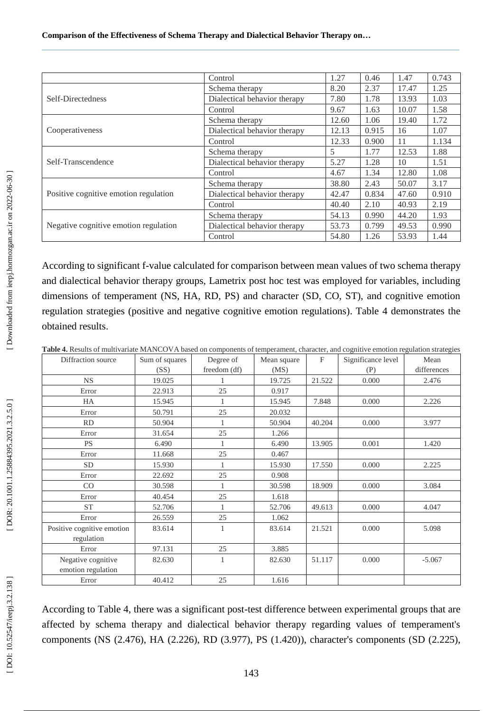|                                       | Control                      | 1.27  | 0.46  | 1.47  | 0.743 |
|---------------------------------------|------------------------------|-------|-------|-------|-------|
|                                       | Schema therapy               | 8.20  | 2.37  | 17.47 | 1.25  |
| Self-Directedness                     | Dialectical behavior therapy | 7.80  | 1.78  | 13.93 | 1.03  |
|                                       | Control                      | 9.67  | 1.63  | 10.07 | 1.58  |
|                                       | Schema therapy               | 12.60 | 1.06  | 19.40 | 1.72  |
| Cooperativeness                       | Dialectical behavior therapy | 12.13 | 0.915 | 16    | 1.07  |
|                                       | Control                      | 12.33 | 0.900 | 11    | 1.134 |
| Self-Transcendence                    | Schema therapy               | 5     | 1.77  | 12.53 | 1.88  |
|                                       | Dialectical behavior therapy | 5.27  | 1.28  | 10    | 1.51  |
|                                       | Control                      | 4.67  | 1.34  | 12.80 | 1.08  |
| Positive cognitive emotion regulation | Schema therapy               | 38.80 | 2.43  | 50.07 | 3.17  |
|                                       | Dialectical behavior therapy | 42.47 | 0.834 | 47.60 | 0.910 |
|                                       | Control                      | 40.40 | 2.10  | 40.93 | 2.19  |
|                                       | Schema therapy               | 54.13 | 0.990 | 44.20 | 1.93  |
| Negative cognitive emotion regulation | Dialectical behavior therapy | 53.73 | 0.799 | 49.53 | 0.990 |
|                                       | Control                      | 54.80 | 1.26  | 53.93 | 1.44  |

According to significant f-value calculated for comparison between mean values of two schema therapy and dialectical behavior therapy groups, Lametrix post hoc test was employed for variables, including dimensions of temperament (NS, HA, RD, PS) and character (SD, CO, ST), and cognitive emotion regulation strategies (positive and negative cognitive emotion regulations). Table 4 demonstrates the obtained results.

**Table 4.** Results of multivariate MANCOVA based on components of temperament, character, and cognitive emotion regulation strategies

| Diffraction source         | Sum of squares | Degree of    | Mean square | $_{\rm F}$ | Significance level | Mean        |
|----------------------------|----------------|--------------|-------------|------------|--------------------|-------------|
|                            | (SS)           | freedom (df) | (MS)        |            | (P)                | differences |
| <b>NS</b>                  | 19.025         |              | 19.725      | 21.522     | 0.000              | 2.476       |
| Error                      | 22.913         | 25           | 0.917       |            |                    |             |
| HA                         | 15.945         |              | 15.945      | 7.848      | 0.000              | 2.226       |
| Error                      | 50.791         | 25           | 20.032      |            |                    |             |
| <b>RD</b>                  | 50.904         | 1            | 50.904      | 40.204     | 0.000              | 3.977       |
| Error                      | 31.654         | 25           | 1.266       |            |                    |             |
| <b>PS</b>                  | 6.490          | $\mathbf{1}$ | 6.490       | 13.905     | 0.001              | 1.420       |
| Error                      | 11.668         | 25           | 0.467       |            |                    |             |
| <b>SD</b>                  | 15.930         | 1            | 15.930      | 17.550     | 0.000              | 2.225       |
| Error                      | 22.692         | 25           | 0.908       |            |                    |             |
| CO                         | 30.598         | 1            | 30.598      | 18.909     | 0.000              | 3.084       |
| Error                      | 40.454         | 25           | 1.618       |            |                    |             |
| <b>ST</b>                  | 52.706         | 1            | 52.706      | 49.613     | 0.000              | 4.047       |
| Error                      | 26.559         | 25           | 1.062       |            |                    |             |
| Positive cognitive emotion | 83.614         | $\mathbf{1}$ | 83.614      | 21.521     | 0.000              | 5.098       |
| regulation                 |                |              |             |            |                    |             |
| Error                      | 97.131         | 25           | 3.885       |            |                    |             |
| Negative cognitive         | 82.630         | $\mathbf{1}$ | 82.630      | 51.117     | 0.000              | $-5.067$    |
| emotion regulation         |                |              |             |            |                    |             |
| Error                      | 40.412         | 25           | 1.616       |            |                    |             |

According to Table 4, there was a significant post -test difference between experimental groups that are affected by schema therapy and dialectical behavior therapy regarding values of temperament's components (NS (2.476), HA (2.226), RD (3.977), PS (1.420)), character's components (SD (2.225),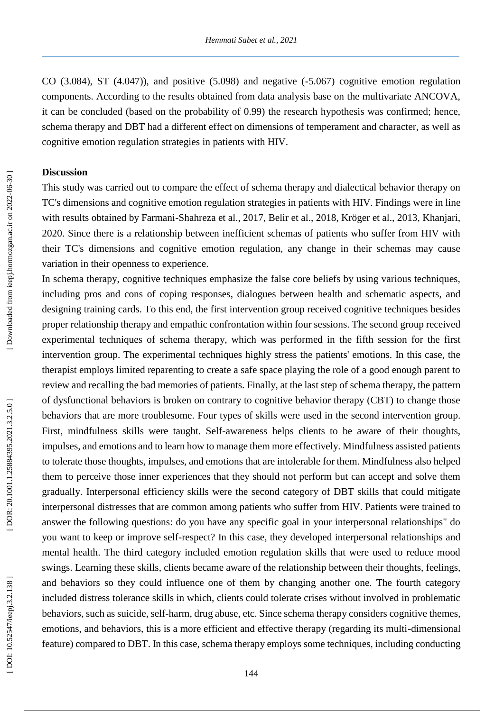CO (3.084), ST (4.047)), and positive (5.098) and negative ( -5.067) cognitive emotion regulation components. According to the results obtained from data analysis base on the multivariate ANCOVA, it can be concluded (based on the probability of 0.99) the research hypothesis was confirmed; hence, schema therapy and DBT had a different effect on dimensions of temperament and character, as well as cognitive emotion regulation strategies in patients with HIV.

# **Discussion**

This study was carried out to compare the effect of schema therapy and dialectical behavior therapy on TC's dimensions and cognitive emotion regulation strategies in patients with HIV. Findings were in line with results obtained by Farmani -Shahreza et al., 2017, Belir et al., 2018, Kröger et al., 2013, Khanjari, 2020. Since there is a relationship between inefficient schemas of patients who suffer from HIV with their TC's dimensions and cognitive emotion regulation, any change in their schemas may cause variation in their openness to experience.

In schema therapy, cognitive techniques emphasize the false core beliefs by using various techniques, including pros and cons of coping responses, dialogues between health and schematic aspects, and designing training cards. To this end, the first intervention group received cognitive techniques besides proper relationship therapy and empathic confrontation within four sessions. The second group received experimental techniques of schema therapy, which was performed in the fifth session for the first intervention group. The experimental techniques highly stress the patients' emotions. In this case, the therapist employs limited reparenting to create a safe space playing the role of a good enough parent to review and recalling the bad memories of patients. Finally, at the last step of schema therapy, the pattern of dysfunctional behaviors is broken on contrary to cognitive behavior therapy (CBT) to change those behaviors that are more troublesome. Four types of skills were used in the second intervention group. First, mindfulness skills were taught. Self-awareness helps clients to be aware of their thoughts, impulses, and emotions and to learn how to manage them more effectively. Mindfulness assisted patients to tolerate those thoughts, impulses, and emotions that are intolerable for them. Mindfulness also helped them to perceive those inner experiences that they should not perform but can accept and solve them gradually. Interpersonal efficiency skills were the second category of DBT skills that could mitigate interpersonal distresses that are common among patients who suffer from HIV. Patients were trained to answer the following questions: do you have any specific goal in your interpersonal relationships" do you want to keep or improve self-respect? In this case, they developed interpersonal relationships and mental health. The third category included emotion regulation skills that were used to reduce mood swings. Learning these skills, clients became aware of the relationship between their thoughts, feelings, and behaviors so they could influence one of them by changing another one. The fourth category included distress tolerance skills in which, clients could tolerate crises without involved in problematic behaviors, such as suicide, self-harm, drug abuse, etc. Since schema therapy considers cognitive themes, emotions, and behaviors, this is a more efficient and effective therapy (regarding its multi-dimensional feature) compared to DBT. In this case, schema therapy employs some techniques, including conducting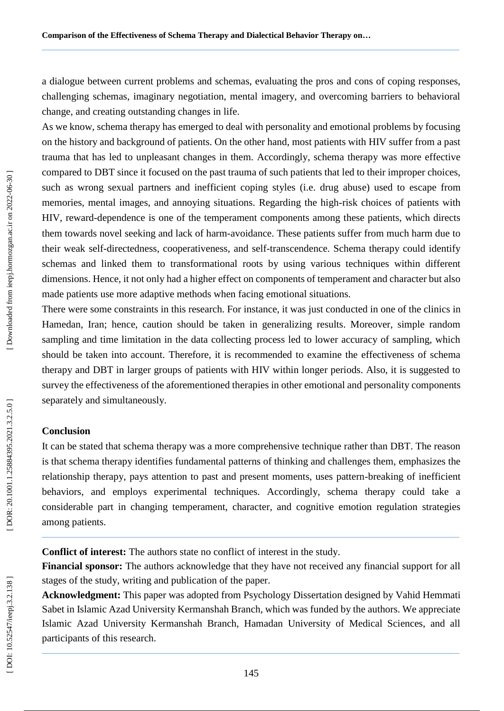a dialogue between current problems and schemas, evaluating the pros and cons of coping responses, challenging schemas, imaginary negotiation, mental imagery, and overcoming barriers to behavioral change, and creating outstanding changes in life.

As we know, schema therapy has emerged to deal with personality and emotional problems by focusing on the history and background of patients. On the other hand, most patients with HIV suffer from a past trauma that has led to unpleasant changes in them. Accordingly, schema therapy was more effective compared to DBT since it focused on the past trauma of such patients that led to their improper choices, such as wrong sexual partners and inefficient coping styles (i.e. drug abuse) used to escape from memories, mental images, and annoying situations. Regarding the high -risk choices of patients with HIV, reward -dependence is one of the temperament components among these patients, which directs them towards novel seeking and lack of harm -avoidance. These patients suffer from much harm due to their weak self-directedness, cooperativeness, and self -transcendence. Schema therapy could identify schemas and linked them to transformational roots by using various techniques within different dimensions. Hence, it not only had a higher effect on components of temperament and character but also made patients use more adaptive methods when facing emotional situations.

There were some constraints in this research. For instance, it was just conducted in one of the clinics in Hamedan, Iran; hence, caution should be taken in generalizing results. Moreover, simple random sampling and time limitation in the data collecting process led to lower accuracy of sampling, which should be taken into account. Therefore, it is recommended to examine the effectiveness of schema therapy and DBT in larger groups of patients with HIV within longer periods. Also, it is suggested to survey the effectiveness of the aforementioned therapies in other emotional and personality components separately and simultaneously.

# **Conclusion**

It can be stated that schema therapy was a more comprehensive technique rather than DBT. The reason is that schema therapy identifies fundamental patterns of thinking and challenges them, emphasizes the relationship therapy, pays attention to past and present moments, uses pattern -breaking of inefficient behaviors, and employs experimental techniques. Accordingly, schema therapy could take a considerable part in changing temperament, character, and cognitive emotion regulation strategies among patients.

**Conflict of interest:** The authors state no conflict of interest in the study.

**Financial sponsor:** The authors acknowledge that they have not received any financial support for all stages of the study, writing and publication of the paper.

**Acknowledgment:** This paper was adopted from Psychology Dissertation designed by Vahid Hemmati Sabet in Islamic Azad University Kermanshah Branch, which was funded by the authors. We appreciate Islamic Azad University Kermanshah Branch, Hamadan University of Medical Sciences, and all participants of this research.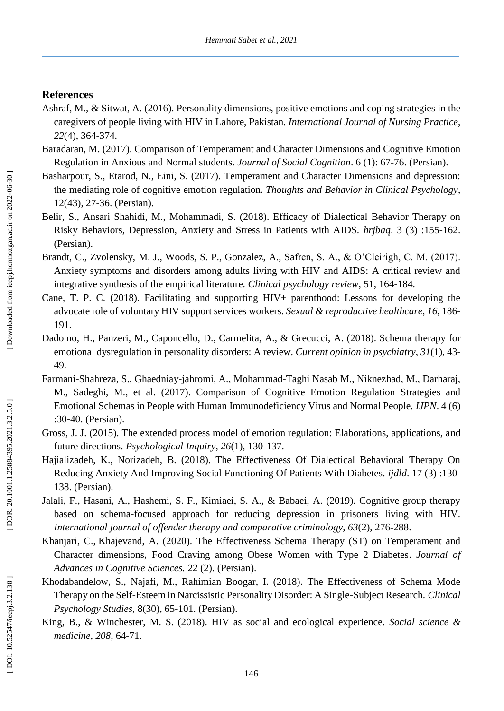# **References**

- Ashraf, M., & Sitwat, A. (2016). Personality dimensions, positive emotions and coping strategies in the caregivers of people living with HIV in Lahore, Pakistan. *International Journal of Nursing Practice*, *22*(4), 364 -374.
- Baradaran, M. (2017). Comparison of Temperament and Character Dimensions and Cognitive Emotion Regulation in Anxious and Normal students. *Journal of Social Cognition*. 6 (1): 67 -76. (Persian).
- Basharpour, S., Etarod, N., Eini, S. (2017). Temperament and Character Dimensions and depression: the mediating role of cognitive emotion regulation. *Thoughts and Behavior in Clinical Psychology*, 12(43), 27 -36. (Persian).
- Belir, S., Ansari Shahidi, M., Mohammadi, S. (2018). Efficacy of Dialectical Behavior Therapy on Risky Behaviors, Depression, Anxiety and Stress in Patients with AIDS. *hrjbaq*. 3 (3) :155 -162. (Persian).
- Brandt, C., Zvolensky, M. J., Woods, S. P., Gonzalez, A., Safren, S. A., & O'Cleirigh, C. M. (2017). Anxiety symptoms and disorders among adults living with HIV and AIDS: A critical review and integrative synthesis of the empirical literature. *Clinical psychology review*, 51, 164 -184.
- Cane, T. P. C. (2018). Facilitating and supporting HIV+ parenthood: Lessons for developing the advocate role of voluntary HIV support services workers. *Sexual & reproductive healthcare*, *16*, 186 - 191.
- Dadomo, H., Panzeri, M., Caponcello, D., Carmelita, A., & Grecucci, A. (2018). Schema therapy for emotional dysregulation in personality disorders: A review. *Current opinion in psychiatry*, *31*(1), 43 - 49.
- Farmani -Shahreza, S., Ghaedniay -jahromi, A., Mohammad -Taghi Nasab M., Niknezhad, M., Darharaj, M., Sadeghi, M., et al. (2017). Comparison of Cognitive Emotion Regulation Strategies and Emotional Schemas in People with Human Immunodeficiency Virus and Normal People*. IJPN*. 4 (6) :30 -40. (Persian).
- Gross, J. J. (2015). The extended process model of emotion regulation: Elaborations, applications, and future directions. *Psychological Inquiry*, *26*(1), 130 -137.
- Hajializadeh, K., Norizadeh, B. (2018). The Effectiveness Of Dialectical Behavioral Therapy On Reducing Anxiety And Improving Social Functioning Of Patients With Diabetes*. ijdld*. 17 (3) :130 - 138 . (Persian).
- Jalali, F., Hasani, A., Hashemi, S. F., Kimiaei, S. A., & Babaei, A. (2019). Cognitive group therapy based on schema -focused approach for reducing depression in prisoners living with HIV. *International journal of offender therapy and comparative criminology*, *63*(2), 276 -288.
- [Khanjari,](http://icssjournal.ir/search.php?sid=1&slc_lang=en&auth=Khanjari) C., [Khajevand,](http://icssjournal.ir/search.php?sid=1&slc_lang=en&auth=Khajevand) A. (2020). [The Effectiveness Schema Therapy \(ST\) on Temperament and](http://icssjournal.ir/browse.php?a_id=1130&sid=1&slc_lang=en&ftxt=0)  [Character dimensions, Food Craving among Obese Women with Type 2 Diabetes.](http://icssjournal.ir/browse.php?a_id=1130&sid=1&slc_lang=en&ftxt=0) *Journal of Advances in Cognitive Sciences.* 22 (2). (Persian).
- Khodabandelow, S., Najafi, M., Rahimian Boogar, I. (2018). The Effectiveness of Schema Mode Therapy on the Self-Esteem in Narcissistic Personality Disorder: A Single -Subject Research. *Clinical Psychology Studies*, 8(30), 65 -101. (Persian).
- King, B., & Winchester, M. S. (2018). HIV as social and ecological experience. *Social science & medicine*, *208*, 64 -71.